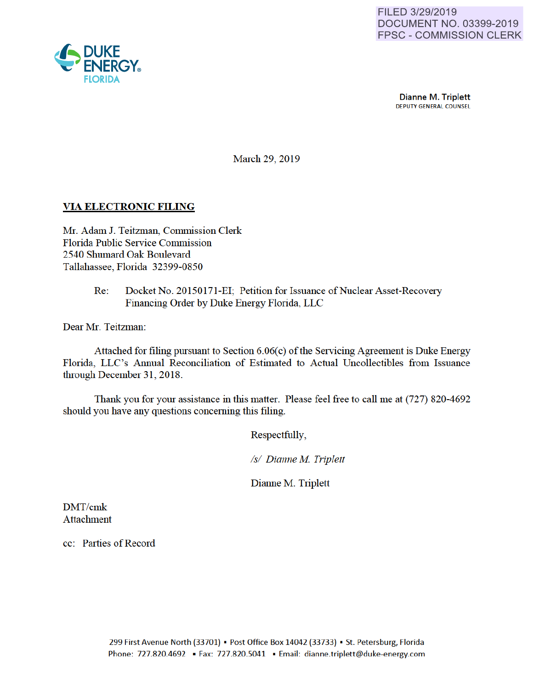

**Dianne M. Triplett**<br>DEPUTY GENERAL COUNSEL

March 29, 2019

## VIA ELECTRONIC FILING

Mr. Adam J. Teitzman, Commission Clerk Florida Public Service Commission 2540 Shumard Oak Boulevard Tallahassee, Florida 32399-0850

## Re: Docket No. 20150171-EI; Petition for Issuance of Nuclear Asset-Recovery Financing Order by Duke Energy Florida, LLC

Dear Mr. Teitzman:

Attached for filing pursuant to Section 6.06(c) of the Servicing Agreement is Duke Energy Florida, LLC's Annual Reconciliation of Estimated to Actual Uncollectibles from Issuance through December 31, 2018.

Thank you for your assistance in this matter. Please feel free to call me at (727) 820-4692 should you have any questions conceming this filing.

Respectfully,

*Is/ Dianne M Triplett* 

Dianne M. Triplett

DMT/cmk **Attachment** 

cc: Patties of Record

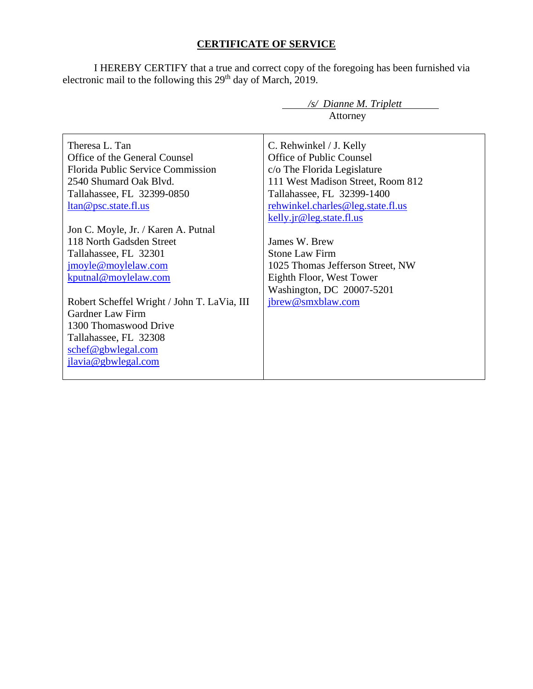## **CERTIFICATE OF SERVICE**

I HEREBY CERTIFY that a true and correct copy of the foregoing has been furnished via electronic mail to the following this  $29<sup>th</sup>$  day of March, 2019.

|                                             | $\sqrt{s}$ Dianne M. Triplett     |  |  |  |  |  |
|---------------------------------------------|-----------------------------------|--|--|--|--|--|
|                                             | Attorney                          |  |  |  |  |  |
|                                             |                                   |  |  |  |  |  |
| Theresa L. Tan                              | C. Rehwinkel / J. Kelly           |  |  |  |  |  |
| Office of the General Counsel               | <b>Office of Public Counsel</b>   |  |  |  |  |  |
| Florida Public Service Commission           | c/o The Florida Legislature       |  |  |  |  |  |
| 2540 Shumard Oak Blvd.                      | 111 West Madison Street, Room 812 |  |  |  |  |  |
| Tallahassee, FL 32399-0850                  | Tallahassee, FL 32399-1400        |  |  |  |  |  |
| <u>ltan@psc.state.fl.us</u>                 | rehwinkel.charles@leg.state.fl.us |  |  |  |  |  |
|                                             | kelly.jr@leg.state.fl.us          |  |  |  |  |  |
| Jon C. Moyle, Jr. / Karen A. Putnal         |                                   |  |  |  |  |  |
| 118 North Gadsden Street                    | James W. Brew                     |  |  |  |  |  |
| Tallahassee, FL 32301                       | <b>Stone Law Firm</b>             |  |  |  |  |  |
| jmoyle@moylelaw.com                         | 1025 Thomas Jefferson Street, NW  |  |  |  |  |  |
| kputnal@moylelaw.com                        | Eighth Floor, West Tower          |  |  |  |  |  |
|                                             | Washington, DC 20007-5201         |  |  |  |  |  |
| Robert Scheffel Wright / John T. LaVia, III | jbrew@smxblaw.com                 |  |  |  |  |  |
| Gardner Law Firm                            |                                   |  |  |  |  |  |
| 1300 Thomaswood Drive                       |                                   |  |  |  |  |  |
| Tallahassee, FL 32308                       |                                   |  |  |  |  |  |
| schef@gbwlegal.com                          |                                   |  |  |  |  |  |
| jlavia@gbwlegal.com                         |                                   |  |  |  |  |  |
|                                             |                                   |  |  |  |  |  |